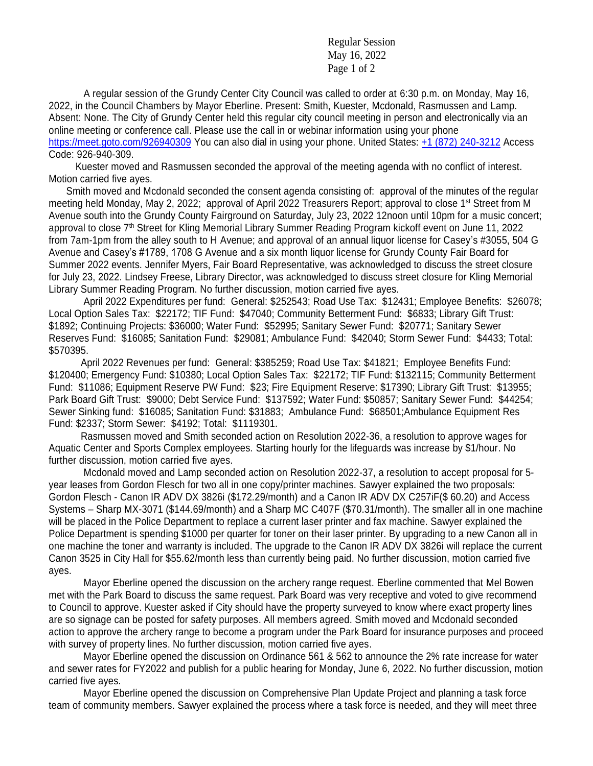Regular Session May 16, 2022 Page 1 of 2

A regular session of the Grundy Center City Council was called to order at 6:30 p.m. on Monday, May 16, 2022, in the Council Chambers by Mayor Eberline. Present: Smith, Kuester, Mcdonald, Rasmussen and Lamp. Absent: None. The City of Grundy Center held this regular city council meeting in person and electronically via an online meeting or conference call. Please use the call in or webinar information using your phone <https://meet.goto.com/926940309> You can also dial in using your phone. United States: [+1 \(872\) 240-3212](tel:+18722403212,,926940309) Access Code: 926-940-309.

 Kuester moved and Rasmussen seconded the approval of the meeting agenda with no conflict of interest. Motion carried five ayes.

Smith moved and Mcdonald seconded the consent agenda consisting of: approval of the minutes of the regular meeting held Monday, May 2, 2022; approval of April 2022 Treasurers Report; approval to close 1st Street from M Avenue south into the Grundy County Fairground on Saturday, July 23, 2022 12noon until 10pm for a music concert; approval to close 7th Street for Kling Memorial Library Summer Reading Program kickoff event on June 11, 2022 from 7am-1pm from the alley south to H Avenue; and approval of an annual liquor license for Casey's #3055, 504 G Avenue and Casey's #1789, 1708 G Avenue and a six month liquor license for Grundy County Fair Board for Summer 2022 events. Jennifer Myers, Fair Board Representative, was acknowledged to discuss the street closure for July 23, 2022. Lindsey Freese, Library Director, was acknowledged to discuss street closure for Kling Memorial Library Summer Reading Program. No further discussion, motion carried five ayes.

April 2022 Expenditures per fund: General: \$252543; Road Use Tax: \$12431; Employee Benefits: \$26078; Local Option Sales Tax: \$22172; TIF Fund: \$47040; Community Betterment Fund: \$6833; Library Gift Trust: \$1892; Continuing Projects: \$36000; Water Fund: \$52995; Sanitary Sewer Fund: \$20771; Sanitary Sewer Reserves Fund: \$16085; Sanitation Fund: \$29081; Ambulance Fund: \$42040; Storm Sewer Fund: \$4433; Total: \$570395.

 April 2022 Revenues per fund: General: \$385259; Road Use Tax: \$41821; Employee Benefits Fund: \$120400; Emergency Fund: \$10380; Local Option Sales Tax: \$22172; TIF Fund: \$132115; Community Betterment Fund: \$11086; Equipment Reserve PW Fund: \$23; Fire Equipment Reserve: \$17390; Library Gift Trust: \$13955; Park Board Gift Trust: \$9000; Debt Service Fund: \$137592; Water Fund: \$50857; Sanitary Sewer Fund: \$44254; Sewer Sinking fund: \$16085; Sanitation Fund: \$31883; Ambulance Fund: \$68501;Ambulance Equipment Res Fund: \$2337; Storm Sewer: \$4192; Total: \$1119301.

 Rasmussen moved and Smith seconded action on Resolution 2022-36, a resolution to approve wages for Aquatic Center and Sports Complex employees. Starting hourly for the lifeguards was increase by \$1/hour. No further discussion, motion carried five ayes.

Mcdonald moved and Lamp seconded action on Resolution 2022-37, a resolution to accept proposal for 5 year leases from Gordon Flesch for two all in one copy/printer machines. Sawyer explained the two proposals: Gordon Flesch - Canon IR ADV DX 3826i (\$172.29/month) and a Canon IR ADV DX C257iF(\$ 60.20) and Access Systems – Sharp MX-3071 (\$144.69/month) and a Sharp MC C407F (\$70.31/month). The smaller all in one machine will be placed in the Police Department to replace a current laser printer and fax machine. Sawyer explained the Police Department is spending \$1000 per quarter for toner on their laser printer. By upgrading to a new Canon all in one machine the toner and warranty is included. The upgrade to the Canon IR ADV DX 3826i will replace the current Canon 3525 in City Hall for \$55.62/month less than currently being paid. No further discussion, motion carried five ayes.

Mayor Eberline opened the discussion on the archery range request. Eberline commented that Mel Bowen met with the Park Board to discuss the same request. Park Board was very receptive and voted to give recommend to Council to approve. Kuester asked if City should have the property surveyed to know where exact property lines are so signage can be posted for safety purposes. All members agreed. Smith moved and Mcdonald seconded action to approve the archery range to become a program under the Park Board for insurance purposes and proceed with survey of property lines. No further discussion, motion carried five ayes.

Mayor Eberline opened the discussion on Ordinance 561 & 562 to announce the 2% rate increase for water and sewer rates for FY2022 and publish for a public hearing for Monday, June 6, 2022. No further discussion, motion carried five ayes.

Mayor Eberline opened the discussion on Comprehensive Plan Update Project and planning a task force team of community members. Sawyer explained the process where a task force is needed, and they will meet three